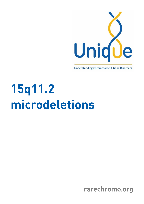

**Understanding Chromosome & Gene Disorders** 

# **15q11.2 microdeletions**

rarechromo.org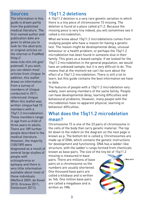**Sources**<br>The information in this quide is drawn partly from the published medical literature. The first-named author and publication date are given to allow you to look for the abstracts or original articles on the internet in PubMed  $[http://$ 

www.ncbi.nlm.nih.gov/ pubmed). If you wish. you can obtain most ,<br>articles from *Unique*. In<br>addition this leaflet draws on information from a survey of members of *Unique*<br>conducted in 2011 referenced Unique When this leaflet was written *Unique* had 15<br>members with a  $15q11.2$  microdeletion. These members range in age from a child of three years to adults. There are 189 further people described in the medical literature However, the majority [100/189] were diagnosed as a result of several large studies of people with schizophrenia or epilepsy and there is very little information available about most of alsubividuals IMefford 2009: de Kovel 2010: Grozeva 2011:  $Stefansson 2011$ ).

15q11.2 deletions<br>A 15q11.2 deletion is a very rare genetic variation in which there is a tiny piece of chromosome 15 missing. The deletion is found at a place called g11.2. Because the missing piece is very tiny indeed, you will sometimes see it called a microdeletion.

What we know about 15q11.2 microdeletions comes from studying people who have a reason for having a genetic test. The reason might be developmental delay, unusual behaviour or a health problem, or perhaps the 15q11.2 microdeletion has been found in someone else in their family. This gives us a biased sample. If we looked for the 15q11.2 microdeletion in the general population, we would have an unbiased sample, but it is very difficult to do. This means that at the moment we can't he sure about the effect of a 15q11.2 microdeletion. There is still a lot to learn, but this quide contains the best information we have  $\begin{pmatrix} 1 & 1 \ 1 & 1 \end{pmatrix}$ 

The features of people with a 15g11.2 microdeletion vary widely, even among members of the same family. People can have developmental delay, learning difficulties and behavioural problems. However, many people with the microdeletion have no apparent physical, learning or behaviour difficulties.

### What does the 15q11.2 microdeletion mean?

Chromosome 15 is one of the 23 pairs of chromosome in bit down to the indent on the diagram on the next page is known as p. The bottom bit is called q. Chromosomes are made up of DNA, which contains the genetic instructions for development and functioning. DNA has a ladder-like structure, with the ladder's rungs formed from chemicals known as base pairs. The size of the tiny bit of 15q11.2

missing is measured in base pairs. There are millions of base pairs on a chromosome so the numbers are usually shortened. One thousand base pairs are called a kilobase and is written as 1kb. One million base pairs are called a megabase and is written as 1Mh

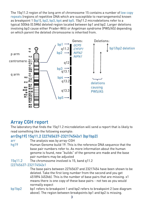The 15q11.2 region of the long arm of chromosome 15 contains a number of low copy as breakpoint 1 (bp1), bp2, bp3, bp4 and bp5. 15q11.2 microdeletions refer to a typical 500kb (0.5Mb) deleted region located between bp1 and bp2. Larger deletions involving bp3 cause either Prader-Willi or Angelman syndrome (PWS/AS) depending on which parent the deleted chromosome is inherited from.



### Array CGH report

The laboratory that finds the 15q11.2 microdeletion will send a report that is likely to

## arr[hg19] 15q11.2 (22765637-23217454)x1 (bp1bp2)

- arr
- arr The analysis was by array-CGH base pair numbers refer to. As more information about the human genome is found, new "builds" of the genome are made and the base pair numbers may be adjusted
- The chromosome involved is 15, band g11.2 15q11.2 The chromosome in the chromosome is 1500 mm

The base pairs between 22765637 and 23217454 have been shown to be deleted. Take the first long number from the second and you get 451894 (452kb). This is the number of base pairs that are missing. x1 means there is one copy of these base pairs - not two as you would normally expect

bp1 refers to breakpoint 1 and bp2 refers to breakpoint 2 (see diagram bp1bp2 bp1 refers to breakpoint 1 and bp2 refers to breakpoint 2 (see diagram) bp2 is missing. above). The region between breakpoints bp1 and bp2 is missing.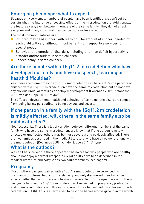**Emerging phenotype: what to expect**<br>Because only very small numbers of people have been identified, we can't yet be certain what the full range of possible effects of the microdeletion are. Additionally, the features vary, even between members of the same family. They do not affect everyone and in any individual they can be more or less obvious.

The most common features are:

- $\blacksquare$  Children may need support with learning. The amount of support needed by<br>each child will vary, although most benefit from supportive services for special needs
- $\blacksquare$  Behaviour and emotional disorders including attention deficit hyperactivity<br>disorder and/or autism in some children
- $\blacksquare$  Speech delay in some children

## Are there people with a 15q11.2 microdeletion who have developed normally and have no speech, learning or health difficulties?<br>Yes. there are. Sometimes the 15q11.2 microdeletion can be silent. Some parents of

children with a 15q11.2 microdeletion have the same microdeletion but do not have any obvious unusual features or delaved development (Doornbos 2009: Stefansson any obvious under Lippe 2011; Unique).<br>The effect or development bookkered behavious of care assotia disenders as son o

The effect on development, health and behaviour of some genetic disorders ranges from being barely perceptible to being obvious and severe.

### from being barely perceptible to being obvious and severe. If one person in a family with the 15q11.2 microdeletion is mildly affected, will others in the same family also be mildly affected?<br>Not necessarily. There is a lot of variation between different members of the same

family who have the same microdeletion. We know that if one person is mildly affected or unaffected, others may be more severely and obviously affected. There are two families described in the medical literature who have three generations with the microdeletion (Doornbos 2009; von der Lippe 2011; *Unique*).<br>With a third three gentle a leO

### What is the outlook?

We can't be sure yet but there appears to be no reason why people who are healthy<br>should not enjoy a normal lifespan. Several adults have been described in the medical literature and *Unique* has two adult members (see page 9).

### **Pregnancy**

Most mothers carrying babies with a 15q11.2 microdeletion experienced no affected after the birth. There is information available on 17 pregnancies of mothers carrying a baby with a 15q11.2 microdeletion. Twelve had no pregnancy problems and no unusual findings on ultrasound scans. Three babies had intrauterine growth retardation (IUGR). This is a term used to describe babies whose growth in the womb retardation (IUGR). This is a term used to describe babies whose growth in the womb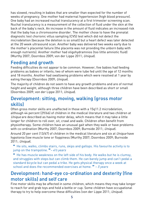has slowed, resulting in babies that are smaller than expected for the number of weeks of pregnancy. One mother had maternal hypertension (high blood pressure). One baby had an increased nuchal translucency at a first trimester screening scan. Nuchal translucency is a measurement of the collection of fluid under the skin at the back of the baby's neck. An increase in the amount of fluid indicates an increased risk that the baby has a chromosome disorder. The mother chose to have the prenatal diagnostic test chorionic villus sampling (CVS) test which did not detect the microdeletion (because the deletion is so small) but a heart defect was later detected at the 20 week ultrasound scan. Another baby was delivered two weeks early due to the mother's placental failure (the placenta was not providing the unborn baby with enough nutrients). Another mother had oligohydramnios (too little amniotic fluid) (Murthy 2007; Doornbos 2009; von der Lippe 2011; *Unique*).

## Feeding and growth

Feeding difficulties do not appear to be common. However, five babies had feeding and 18 months. Another had swallowing problems which were resolved at 1 year by eating therapy (Doornbos 2009; *Unique*).<br>The resissitue of children de not seem to have any speuth and large and asset pearse

The majority of children do not seem to have any growth problems and are of normal (Doornbos 2009; von der Lippe 2011; *Unique*).

### Development: sitting, moving, walking (gross motor skills)

Often gross motor skills are unaffected in those with a 15q11.2 microdeletion, Unique are described as having motor delay, which means that it may take a little<br>Jonger for children to roll over, sit, crawl and walk. Children often henefit from longer for children to roll over, sit, crawl and walk. Children often benefit from with co-ordination (Murthy 2007; Doornbos 2009; Burnside 2011; *Unique*).<br>Accurat 20 secondo (12/47) of children in the modical literature and circat (4 investory)

Around 20 per cent (13/67) of children in the medical literature and six at *Unique* have<br>hypotonia (low muscle tone or floppiness (Murthy 2007; Doornbos 2009; Burnside hypotonia (*longue*).<br>2011; *Unique*).<br>1994; Doornbos 2009; Burnside atalyse and a shine and and and a shine a string in the string of the same of the s

 He sits, walks, climbs stairs, runs, skips and gallops. His favourite activity is to jump on the trampoline.  $\frac{1}{2}$  – 4½ years

 He has muscle weakness on the left side of his body. He walks but he is clumsy, standard bicycle but can pedal a trike. He gets physical therapy once a week at school and does the recommended exercises at home.  $"$  – 5 years

## Development: hand-eye co-ordination and dexterity (fine motor skills) and self care<br>Fine motor skills may be affected in some children, which means they may take longer

to reach for and grab toys and hold a bottle or cup. Some children have occupational to reach for and grad toys and hold a bottle or cupational conditions.<br>therapy to try to help overcome these difficulties (von der Lippe 2011; *Unique*).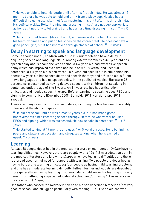He was unable to hold his bottle until after his first birthday. He was almost 15 difficult time using utensils - not fully mastering this until after his third birthday. His self-care skills (toilet training and dressing himself) are not age appropriate. as he is still not fully toilet trained and has a hard time dressing himself. "  $-4\frac{1}{2}$ years

**"** He is fully toilet trained (day and night) and never wets the bed. He can brush his teeth by himself and put on his shoes on the correct feet. He does not have a good pencil grip, but it has improved through classes at school. " – 5 years

### Delay in starting to speak and language development

Some, although not all, children with a 15g11.2 microdeletion have a delay in acquiring speech and language skills. Among *Unique* members a 3½-year-old has<br>speech delay and is about one year behind: a 4½-year-old had expressive speech delay which has improved over time and he is now fully verbal and uses full sentences; a 41/2-year-old is non-verbal; a 5-year-old speaks but is still behind his peers; a 6-year-old has speech delay and speech therapy; and a 9-year-old is fluent in two languages and has no speech delay. In the published medical literature 92 percent were described as having delayed speech, with children not speaking in sentences until the age of 6 to 8 years. An 11-year-old boy had articulation difficulties and needed speech therapy. Before learning to speak he used PECs and signing to communicate (Doornbos 2009; Burnside 2011; von der Lippe 2011;  $\sum_{n=1}^{\infty}$ Unique).<br>There are many reasons for the speech delay, including the link between the ability

to learn and the ability to speak.

" He did not speak until he was almost 3 years old, but has made great<br>improvements since receiving speech therapy. Before he was verbal he PECs and signing, which was successful. He now speaks in sentences. " – 4½<br>vears years

**"** He started talking at 19 months and uses 4 or 5 word phrases. He is behind his peers and stutters on occasion, and struggles talking when he is excited or peers and studies on our or occasion, and struggles talking when  $\frac{1}{2}$  is expected or  $\frac{1}{2}$  is expected or  $\frac{1}{2}$  is expected or  $\frac{1}{2}$  is expected or  $\frac{1}{2}$  is expected or  $\frac{1}{2}$  is expected or  $\frac{1}{$ 

### Learning

At least 38 people described in the medical literature or members at *Unique* have no<br>learning difficulties. However, there are people with a 15q11.2 microdeletion both in the medical literature and known to *Unique* who have learning difficulties and there<br>is a broad spectrum of need for support with learning. Two neonle are described as is a broad spectrum of need for support with learning. Two people are described as and one has a moderate learning difficulty. Fifteen further individuals are described more generally as having learning problems. Many children with a learning difficulty benefit from attending a special educational school and/or having 1:1 assistance in the classroom (*Unique*).<br>Or a father who goes not the gripped slating and a his see described big self as in the

One father who passed the microdeletion on to his son described himself as 'not very good at school' and struggled particularly with reading. His 11-year-old son was  $\overline{a}$  and struggled particularly with reading. His 11-year-old son was  $\overline{a}$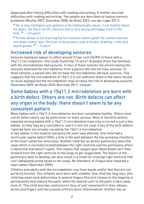diagnosed after having difficulties with reading and writing. A mother also had difficulties with reading and writing. Two people are described as having memory problems (Murthy 2007; Doornbos 2008; de Kovel 2010; von der Lippe 2011).

**External 4**<br>**External 200** intelligent and appears to be intellectually equal, if not slightly above<br>his peers. He has a terrific memory and is very loving and hanny most of the time.  $\frac{m}{s}$  – 4½ years.  $\frac{m}{s}$  is very lower than the memory and happy most of the connection of the the happy most of the second theorem is the local state.

 He has delays in his learning but his memory seems good. He cannot read but board games.  $H - 5$  years

## Increased risk of developing seizures<br>Seizures (epilepsy) appear to affect around 27 per cent (24/90) of those with a

15q11.2 microdeletion. One study found that 12 out of 18 people (from five families) with the microdeletion had seizures. In four of these families the person having the seizures inherited the microdeletion from a parent who did not have seizures. In three families, a parent who did not have the microdeletion did have seizures. This suggests that the microdeletion of 15g11.2 is not sufficient (even in the same family) to cause epilepsy but the microdeletion may increase the risk of developing seizures (Doornbos 2009; de Kovel 2010; Burnside 2011; *Unique*).

### Some babies with a 15q11.2 microdeletion are born with a birth defect. Others are not. Birth defects can affect any organ in the body: there doesn't seem to be any consistent pattern

Many babies with a 15q11.2 microdeletion are born completely healthy. Others have reported among babies with a 15q11.2 microdeletion have only occurred in just a few babies, so they may be a coincidence, and it is still not clear if any of the birth defects reported here are actually caused by the 15g11.2 microdeletion.

In two babies in the medical literature the heart was affected. One child had a ventricular septal defect (VSD; a hole in the wall between the two pumping chambers of the heart called the ventricles). Another child has an atretic pulmonary valve (the valve which is normally located between the right ventricle and the pulmonary artery is abnormal and doesn't open). This means that oxygen-poor (blue) blood can't flow forward from the right ventricle to the lungs to get oxygenated. The failure of the pulmonary valve to develop can also result in a small for missingl right ventricle that .<br>can't adequately pump blood to the lungs. No members of *Unique* have reported a<br>beart defect (Doornbos 2009)

Children and adults with the microdeletion may have hands and/or feet that are not perfectly formed. Two children were born with clubfeet. One child has long toes. One child has swan neck deformities in several fingers (the joint closest to the fingertip is permanently bent toward the palm, while the nearest joint to the palm is bent away from it). This child also has contractures (loss of joint movement) in their elbows, wrists and fingers and has iuvenile arthritis (joint inflammation). Another has an wrists and fingers and has juvenile arthritis (joint inflammation). Another has an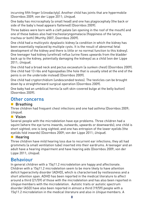(Doornbos 2009; von der Lippe 2011; *Unique*).<br>One haby has missessanhaly (a small has d) and are her alsgissanhaly (the hask a

One baby has microcephaly (a small head) and one has plagiocephaly (the back or

Three babies were born with a cleft palate (an opening in the roof of the mouth) and one of these babies also had tracheolaryngomalacia (floppiness of the larynx, trachea or both) (Murthy 2007: Doornbos 2009).

One child had a multicystic dysplastic kidney (a condition in which the kidney has been essentially replaced by multiple cysts. It is the result of abnormal fetal development of the kidney and there is little or no normal function to this kidney). One teenager had kidney (urethral) reflux (urine flows upwards from the bladder back up to the kidney, potentially damaging the kidneys) as a child (von der Lippe  $\frac{1}{2011}$ ; Unique).

One child had a broad neck and pectus excavatum (a sunken chest) (Doornbos 2009). penis is on the underside instead) (Doornbos 2009).

One child had cryptorchidism (undescended testes). The testicles can be brought down by a straightforward surgical operation (Doornbos 2009).

One baby had an umbilical hernia (a soft skin-covered bulge at the belly button).  $D^{\text{normal}}$  had an umber  $\Omega$ 

### (Doornbos 2009). Other concerns

### **Breathing**

 $T$ had frequent chest infections and one had asthma (Doornbos 2009;  $T$ Unique).

### **Vision**

Several people with the microdeletion have eye problems. Three children had a short sighted: one is long sighted; and one has entropion of the lower evelids (the eyelids fold inwards) (Doornbos 2009; von der Lippe 2011; *Unique*).<br>En **Hooring** 

### **Hearing**

Three children have mild hearing loss due to recurrent ear infections; they all had adult have a hearing impairment and have hearing aids (Doornbos 2009; von der Lippe 2011; *Unique*). The have hearing aids (Doornbos 2009; von der hearing aids 2009; von der hearing and have h

### Behaviour

In general children with a 15q11.2 microdeletion are happy and affectionate. deficit hyperactivity disorder (ADHD), which is characterised by restlessness and a short attention span. ADHD has been reported in the medical literature to affect around a third (21/59) of those with the microdeletion and has also been reported in Unique members with the microdeletion. Autistic traits or autistic spectrum<br>disorder (ASD) have also been reported in almost a third (19/59) people with a 15q11.2 microdeletion in the medical literature and also in *Unique* members. A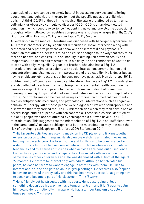diagnosis of autism can be extremely helpful in accessing services and tailoring educational and behavioural therapy to meet the specific needs of a child with autism. A third (20/59) of those in the medical literature are affected by tantrums, self-injury or obsessive compulsive disorder (OCD). OCD is an anxiety-related condition in which people experience frequent intrusive and unwelcome obsessional thoughts, often followed by repetitive compulsions, impulses or urges (Murthy 2007; Doornbos 2009; Burnside 2011; von der Lippe 2011; Unique).<br>A. 24 weer ald in the medical literature was die recent with Assersarie syndrems (or

ASD that is characterised by significant difficulties in social interaction along with restricted and repetitive patterns of behaviour and interests) and psychosis (a condition that affects a person's mind and causes changes to the way that they think. feel and behave, and can result in an inability to distinguish between reality and imagination). He needs a firm structure in his daily life and reminders of what to do to cope with daily living. His 12-year-old brother, who also has a 15q11.2 microdeletion, has similar problems with social interaction, communication and concentration, and also needs a firm structure and predictability. He is described as having phobic anxiety reactions but he does not have psychosis (von der Lippe 2011). Eighteen out of 69 people in the medical literature who have a 15g11.2 microdeletion are also affected by schizophrenia. Schizophrenia is a mental health condition that causes a range of different psychological symptoms, including hallucinations (hearing or seeing things that do not exist) and delusions (believing in things that are untruel. Schizophrenia can be treated using a combination of medical treatments such as antipsychotic medicines, and psychological interventions such as cognitive behavioural therapy. All of these people were diagnosed first with schizophrenia and discovered that they carried the 15q11.2 microdeletion when they took part in one of several large studies of people with schizophrenia. These studies also identified 59 out of 69 people who are not affected by schizophrenia but who have a 15q11.2 microdeletion. This suggests that the microdeletion of 15g11.2 is not sufficient leven in the same family) to cause schizophrenia but the microdeletion may increase the risk of developing schizophrenia (Mefford 2009; Stefansson 2011).

" His favourite activities are playing music on his CD player and linking together<br>extension cords to plug things in He also enjoys watching animated movies and extension cords to plug things in. He also enjoys watching animated movies and order. If this is followed he has normal behaviour. He has obsessive compulsive tendencies and this causes difficulties when activities are done out of sequence. He can be very aggressive and is hyperactive. His social skills are not on the same level as other children his age. He was diagnosed with autism at the age of 27 months. He prefers to interact only with adults. Although he tolerates his peers, he does not seem to want to engage in activities with them. He likes to interact one-on-one and gets anxious in group settings. He receives ABA lapplied behaviour analysis] therapy daily and this has been very successful at getting him to speak and become a part of his classroom.  $\frac{v}{r} = \frac{4}{2}$  years

 He is friendly but he struggles with his peers. He is easy-going unless him down. He is emotionally immature. He has a temper tantrum a couple of times per week.  $\frac{1}{2}$  – 5 years a couple of  $\frac{1}{2}$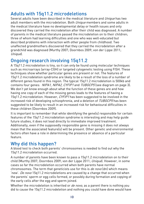## Adults with 15q11.2 microdeletions

Several adults have been described in the medical literature and *Unique* has two adult members with the microdeletion. Both  $Unique$  members and some adults in the medical literature have no developmental delay or health issues and only discovered they carried the microdeletion after their child was diagnosed. A number of parents in the medical literature passed the microdeletion on to their children: three of whom had learning difficulties and one who was well-educated but described problems with interaction with other people from childhood. Two unaffected grandmothers discovered that they carried the microdeletion after a grandchild was diagnosed (Murthy 2007; Doornbos 2009; von der Lippe 2011; grandchild was diagnosed (Murthy 2007; Doornbos 2009; Von der Lippe 2011; Doornbos 2009; von der Lippe 2011; v<br>Doornbos 2011; Doornbos 2011; von der Lippe 2011; von der Lippe 2011; von der Lippe 2011; von der Lippe 2011; Unique).

**Ongoing research involving 15q11.2**<br>A 15q11.2 microdeletion is tiny, so it can only be found using molecular techniques such as microarrays (array-CGH) or targeted cytogenetic testing using FISH. These techniques show whether particular genes are present or not. The features of 15q11.2 microdeletion syndrome are likely to be a result of the loss of a number of different genes found in this region. The typical 15q11.2 microdeletion is 500kb and contains four genes: *NIPA1, NIPA2, CYFIP1* and *TUBGCP5* (see diagram on page 3).<br>We don't vet know enough about what the function of these genes are and how. We don't yet know enough about what the function of these genes are and how<br>having one copy of each of the missing genes leads to the features of having a 15q11.2 microdeletion. However,  $CY\bar{PJ}$  has been suggested to be involved in the<br>increased risk of developing schizophrenia, and a deletion of *TURGCP5* has been increased risk of developing schizophrenia, and a deletion of *TUBGCP5* has been<br>suggested to be likely to result in an increased risk for behavioural difficulties in these children (Doornbos 2009).

It is important to remember that while identifying the gene(s) responsible for certain features of the 15g11.2 microdeletion syndrome is interesting and may help quide future studies, it does not lead directly to immediate improved treatment. Additionally, even if the supposedly responsible gene is missing it does not always mean that the associated feature(s) will be present. Other genetic and environmental factors often have a role in determining the presence or absence of a particular facture a role in determining the presence of a particular the presence of a particular presence of a particular<br>The particular the particular presence of a particular the particular presence of a particular presence of a

### Why did this happen?

A blood test to check both parents' chromosomes is needed to find out why the

A number of parents have been known to pass a 15q11.2 microdeletion on to their child (Murthy 2007; Doornbos 2009; von der Lippe 2011; *Unique*). However, in some<br>cases so far the microdeletion occurred when both parents have normal chromosomes. The term that geneticists use for this is *de novo* (dn) which means<br>inew. *De novo* 15g11.2 microdeletions are caused by a change that occurred when 'new'. *De novo* 15q11.2 microdeletions are caused by a change that occurred when<br>the parents' sperm or egg cells formed, or possibly during formation and copying of the early cells after the egg and sperm joined.

Whether the microdeletion is inherited or *de novo*, as a parent there is nothing you<br>did to cause the 15g11.2 microdeletion and nothing you could have done would have  $\ddot{\phantom{a}}$  microdeletion and notation and notation and notation and nothing you could have done would have done would have done would have done would have done would have done would have done would have done would have d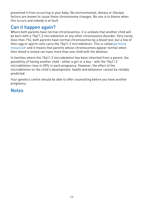prevented it from occurring in your baby. No environmental, dietary or lifestyle this occurs and nobody is at fault.

### this occurs and nobody is at fault. Can it happen again?

Where both parents have normal chromosomes, it is unlikely that another child will (less than 1%), both parents have normal chromosomes by a blood test, but a few of their egg or sperm cells carry the 15g11.2 microdeletion. This is called germline mosaicism and it means that parents whose chromosomes appear normal when their blood is tested can have more than one child with the deletion.

In families where the 15q11.2 microdeletion has been inherited from a parent, the microdeletion rises to 50% in each pregnancy. However, the effect of the microdeletion on the child's development, health and behaviour cannot be reliably microdeletion on the child's development, health and behaviour cannot behaviour cannot be reliably behaviour c

predicted.  $\mathcal{L}_{\text{S}}$  absolute to offer counselling before  $\mathcal{L}_{\text{S}}$  $\overline{a}$ 

## **Notes**